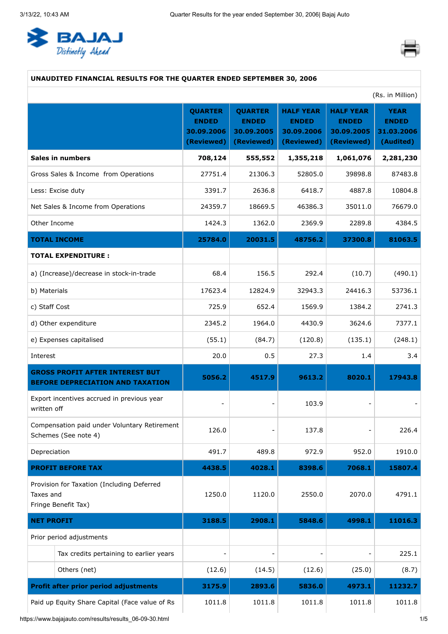<span id="page-0-0"></span>



### **UNAUDITED FINANCIAL RESULTS FOR THE QUARTER ENDED SEPTEMBER 30, 2006**

|                                                                                   | (Rs. in Million)                                           |                                                            |                                                              |                                                              |                                                        |
|-----------------------------------------------------------------------------------|------------------------------------------------------------|------------------------------------------------------------|--------------------------------------------------------------|--------------------------------------------------------------|--------------------------------------------------------|
|                                                                                   | <b>QUARTER</b><br><b>ENDED</b><br>30.09.2006<br>(Reviewed) | <b>QUARTER</b><br><b>ENDED</b><br>30.09.2005<br>(Reviewed) | <b>HALF YEAR</b><br><b>ENDED</b><br>30.09.2006<br>(Reviewed) | <b>HALF YEAR</b><br><b>ENDED</b><br>30.09.2005<br>(Reviewed) | <b>YEAR</b><br><b>ENDED</b><br>31.03.2006<br>(Audited) |
| <b>Sales in numbers</b>                                                           | 708,124                                                    | 555,552                                                    | 1,355,218                                                    | 1,061,076                                                    | 2,281,230                                              |
| Gross Sales & Income from Operations                                              | 27751.4                                                    | 21306.3                                                    | 52805.0                                                      | 39898.8                                                      | 87483.8                                                |
| Less: Excise duty                                                                 | 3391.7                                                     | 2636.8                                                     | 6418.7                                                       | 4887.8                                                       | 10804.8                                                |
| Net Sales & Income from Operations                                                | 24359.7                                                    | 18669.5                                                    | 46386.3                                                      | 35011.0                                                      | 76679.0                                                |
| Other Income                                                                      | 1424.3                                                     | 1362.0                                                     | 2369.9                                                       | 2289.8                                                       | 4384.5                                                 |
| <b>TOTAL INCOME</b>                                                               | 25784.0                                                    | 20031.5                                                    | 48756.2                                                      | 37300.8                                                      | 81063.5                                                |
| <b>TOTAL EXPENDITURE:</b>                                                         |                                                            |                                                            |                                                              |                                                              |                                                        |
| a) (Increase)/decrease in stock-in-trade                                          | 68.4                                                       | 156.5                                                      | 292.4                                                        | (10.7)                                                       | (490.1)                                                |
| b) Materials                                                                      | 17623.4                                                    | 12824.9                                                    | 32943.3                                                      | 24416.3                                                      | 53736.1                                                |
| c) Staff Cost                                                                     | 725.9                                                      | 652.4                                                      | 1569.9                                                       | 1384.2                                                       | 2741.3                                                 |
| d) Other expenditure                                                              | 2345.2                                                     | 1964.0                                                     | 4430.9                                                       | 3624.6                                                       | 7377.1                                                 |
| e) Expenses capitalised                                                           | (55.1)                                                     | (84.7)                                                     | (120.8)                                                      | (135.1)                                                      | (248.1)                                                |
| Interest                                                                          | 20.0                                                       | 0.5                                                        | 27.3                                                         | 1.4                                                          | 3.4                                                    |
| <b>GROSS PROFIT AFTER INTEREST BUT</b><br><b>BEFORE DEPRECIATION AND TAXATION</b> | 5056.2                                                     | 4517.9                                                     | 9613.2                                                       | 8020.1                                                       | 17943.8                                                |
| Export incentives accrued in previous year<br>written off                         | $\blacksquare$                                             |                                                            | 103.9                                                        |                                                              |                                                        |
| Compensation paid under Voluntary Retirement<br>Schemes (See note 4)              | 126.0                                                      |                                                            | 137.8                                                        |                                                              | 226.4                                                  |
| Depreciation                                                                      | 491.7                                                      | 489.8                                                      | 972.9                                                        | 952.0                                                        | 1910.0                                                 |
| <b>PROFIT BEFORE TAX</b>                                                          | 4438.5                                                     | 4028.1                                                     | 8398.6                                                       | 7068.1                                                       | 15807.4                                                |
| Provision for Taxation (Including Deferred<br>Taxes and<br>Fringe Benefit Tax)    | 1250.0                                                     | 1120.0                                                     | 2550.0                                                       | 2070.0                                                       | 4791.1                                                 |
| <b>NET PROFIT</b>                                                                 | 3188.5                                                     | 2908.1                                                     | 5848.6                                                       | 4998.1                                                       | 11016.3                                                |
| Prior period adjustments                                                          |                                                            |                                                            |                                                              |                                                              |                                                        |
| Tax credits pertaining to earlier years                                           |                                                            |                                                            |                                                              |                                                              | 225.1                                                  |
| Others (net)                                                                      | (12.6)                                                     | (14.5)                                                     | (12.6)                                                       | (25.0)                                                       | (8.7)                                                  |
| <b>Profit after prior period adjustments</b>                                      | 3175.9                                                     | 2893.6                                                     | 5836.0                                                       | 4973.1                                                       | 11232.7                                                |
| Paid up Equity Share Capital (Face value of Rs                                    | 1011.8                                                     | 1011.8                                                     | 1011.8                                                       | 1011.8                                                       | 1011.8                                                 |

https://www.bajajauto.com/results/results\_06-09-30.html 1/5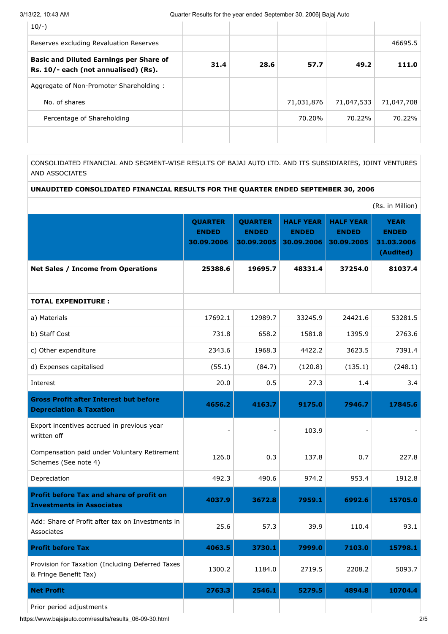| $10/-$ )                                                                               |      |      |            |            |            |
|----------------------------------------------------------------------------------------|------|------|------------|------------|------------|
| Reserves excluding Revaluation Reserves                                                |      |      |            |            | 46695.5    |
| <b>Basic and Diluted Earnings per Share of</b><br>Rs. 10/- each (not annualised) (Rs). | 31.4 | 28.6 | 57.7       | 49.2       | 111.0      |
| Aggregate of Non-Promoter Shareholding:                                                |      |      |            |            |            |
| No. of shares                                                                          |      |      | 71,031,876 | 71,047,533 | 71,047,708 |
| Percentage of Shareholding                                                             |      |      | 70.20%     | 70.22%     | 70.22%     |
|                                                                                        |      |      |            |            |            |

CONSOLIDATED FINANCIAL AND SEGMENT-WISE RESULTS OF BAJAJ AUTO LTD. AND ITS SUBSIDIARIES, JOINT VENTURES AND ASSOCIATES

# **UNAUDITED CONSOLIDATED FINANCIAL RESULTS FOR THE QUARTER ENDED SEPTEMBER 30, 2006**

|                                                                                     |                                              |                                              |                                                |                                                | (Rs. in Million)                                       |
|-------------------------------------------------------------------------------------|----------------------------------------------|----------------------------------------------|------------------------------------------------|------------------------------------------------|--------------------------------------------------------|
|                                                                                     | <b>QUARTER</b><br><b>ENDED</b><br>30.09.2006 | <b>QUARTER</b><br><b>ENDED</b><br>30.09.2005 | <b>HALF YEAR</b><br><b>ENDED</b><br>30.09.2006 | <b>HALF YEAR</b><br><b>ENDED</b><br>30.09.2005 | <b>YEAR</b><br><b>ENDED</b><br>31.03.2006<br>(Audited) |
| <b>Net Sales / Income from Operations</b>                                           | 25388.6                                      | 19695.7                                      | 48331.4                                        | 37254.0                                        | 81037.4                                                |
|                                                                                     |                                              |                                              |                                                |                                                |                                                        |
| <b>TOTAL EXPENDITURE:</b>                                                           |                                              |                                              |                                                |                                                |                                                        |
| a) Materials                                                                        | 17692.1                                      | 12989.7                                      | 33245.9                                        | 24421.6                                        | 53281.5                                                |
| b) Staff Cost                                                                       | 731.8                                        | 658.2                                        | 1581.8                                         | 1395.9                                         | 2763.6                                                 |
| c) Other expenditure                                                                | 2343.6                                       | 1968.3                                       | 4422.2                                         | 3623.5                                         | 7391.4                                                 |
| d) Expenses capitalised                                                             | (55.1)                                       | (84.7)                                       | (120.8)                                        | (135.1)                                        | (248.1)                                                |
| Interest                                                                            | 20.0                                         | 0.5                                          | 27.3                                           | 1.4                                            | 3.4                                                    |
| <b>Gross Profit after Interest but before</b><br><b>Depreciation &amp; Taxation</b> | 4656.2                                       | 4163.7                                       | 9175.0                                         | 7946.7                                         | 17845.6                                                |
| Export incentives accrued in previous year<br>written off                           | $\blacksquare$                               |                                              | 103.9                                          |                                                |                                                        |
| Compensation paid under Voluntary Retirement<br>Schemes (See note 4)                | 126.0                                        | 0.3                                          | 137.8                                          | 0.7                                            | 227.8                                                  |
| Depreciation                                                                        | 492.3                                        | 490.6                                        | 974.2                                          | 953.4                                          | 1912.8                                                 |
| Profit before Tax and share of profit on<br><b>Investments in Associates</b>        | 4037.9                                       | 3672.8                                       | 7959.1                                         | 6992.6                                         | 15705.0                                                |
| Add: Share of Profit after tax on Investments in<br>Associates                      | 25.6                                         | 57.3                                         | 39.9                                           | 110.4                                          | 93.1                                                   |
| <b>Profit before Tax</b>                                                            | 4063.5                                       | 3730.1                                       | 7999.0                                         | 7103.0                                         | 15798.1                                                |
| Provision for Taxation (Including Deferred Taxes<br>& Fringe Benefit Tax)           | 1300.2                                       | 1184.0                                       | 2719.5                                         | 2208.2                                         | 5093.7                                                 |
| <b>Net Profit</b>                                                                   | 2763.3                                       | 2546.1                                       | 5279.5                                         | 4894.8                                         | 10704.4                                                |
| Prior period adjustments                                                            |                                              |                                              |                                                |                                                |                                                        |

https://www.bajajauto.com/results/results\_06-09-30.html 2/5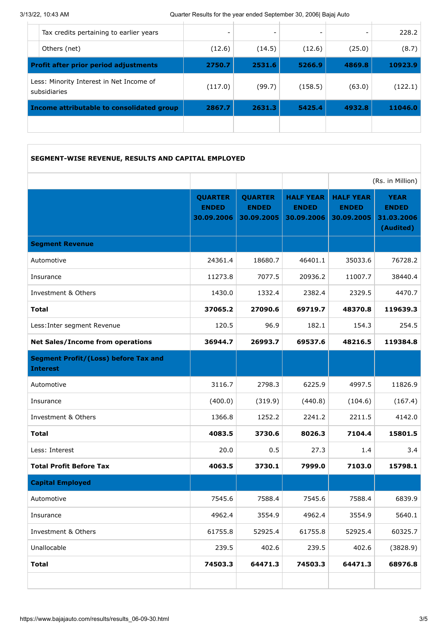| Income attributable to consolidated group                | 2867.7  | 2631.3                       | 5425.4  | 4932.8                   | 11046.0 |
|----------------------------------------------------------|---------|------------------------------|---------|--------------------------|---------|
| Less: Minority Interest in Net Income of<br>subsidiaries | (117.0) | (99.7)                       | (158.5) | (63.0)                   | (122.1) |
| <b>Profit after prior period adjustments</b>             | 2750.7  | 2531.6                       | 5266.9  | 4869.8                   | 10923.9 |
| Others (net)                                             | (12.6)  | (14.5)                       | (12.6)  | (25.0)                   | (8.7)   |
| Tax credits pertaining to earlier years                  |         | $\qquad \qquad \blacksquare$ |         | $\overline{\phantom{a}}$ | 228.2   |
|                                                          |         |                              |         |                          |         |

# **SEGMENT-WISE REVENUE, RESULTS AND CAPITAL EMPLOYED**

|                                                                |                                              |                                              |                                                |                                                | (Rs. in Million)                                       |
|----------------------------------------------------------------|----------------------------------------------|----------------------------------------------|------------------------------------------------|------------------------------------------------|--------------------------------------------------------|
|                                                                | <b>QUARTER</b><br><b>ENDED</b><br>30.09.2006 | <b>QUARTER</b><br><b>ENDED</b><br>30.09.2005 | <b>HALF YEAR</b><br><b>ENDED</b><br>30.09.2006 | <b>HALF YEAR</b><br><b>ENDED</b><br>30.09.2005 | <b>YEAR</b><br><b>ENDED</b><br>31.03.2006<br>(Audited) |
| <b>Segment Revenue</b>                                         |                                              |                                              |                                                |                                                |                                                        |
| Automotive                                                     | 24361.4                                      | 18680.7                                      | 46401.1                                        | 35033.6                                        | 76728.2                                                |
| Insurance                                                      | 11273.8                                      | 7077.5                                       | 20936.2                                        | 11007.7                                        | 38440.4                                                |
| Investment & Others                                            | 1430.0                                       | 1332.4                                       | 2382.4                                         | 2329.5                                         | 4470.7                                                 |
| <b>Total</b>                                                   | 37065.2                                      | 27090.6                                      | 69719.7                                        | 48370.8                                        | 119639.3                                               |
| Less: Inter segment Revenue                                    | 120.5                                        | 96.9                                         | 182.1                                          | 154.3                                          | 254.5                                                  |
| <b>Net Sales/Income from operations</b>                        | 36944.7                                      | 26993.7                                      | 69537.6                                        | 48216.5                                        | 119384.8                                               |
| <b>Segment Profit/(Loss) before Tax and</b><br><b>Interest</b> |                                              |                                              |                                                |                                                |                                                        |
| Automotive                                                     | 3116.7                                       | 2798.3                                       | 6225.9                                         | 4997.5                                         | 11826.9                                                |
| Insurance                                                      | (400.0)                                      | (319.9)                                      | (440.8)                                        | (104.6)                                        | (167.4)                                                |
| Investment & Others                                            | 1366.8                                       | 1252.2                                       | 2241.2                                         | 2211.5                                         | 4142.0                                                 |
| <b>Total</b>                                                   | 4083.5                                       | 3730.6                                       | 8026.3                                         | 7104.4                                         | 15801.5                                                |
| Less: Interest                                                 | 20.0                                         | 0.5                                          | 27.3                                           | 1.4                                            | 3.4                                                    |
| <b>Total Profit Before Tax</b>                                 | 4063.5                                       | 3730.1                                       | 7999.0                                         | 7103.0                                         | 15798.1                                                |
| <b>Capital Employed</b>                                        |                                              |                                              |                                                |                                                |                                                        |
| Automotive                                                     | 7545.6                                       | 7588.4                                       | 7545.6                                         | 7588.4                                         | 6839.9                                                 |
| Insurance                                                      | 4962.4                                       | 3554.9                                       | 4962.4                                         | 3554.9                                         | 5640.1                                                 |
| Investment & Others                                            | 61755.8                                      | 52925.4                                      | 61755.8                                        | 52925.4                                        | 60325.7                                                |
| Unallocable                                                    | 239.5                                        | 402.6                                        | 239.5                                          | 402.6                                          | (3828.9)                                               |
| <b>Total</b>                                                   | 74503.3                                      | 64471.3                                      | 74503.3                                        | 64471.3                                        | 68976.8                                                |
|                                                                |                                              |                                              |                                                |                                                |                                                        |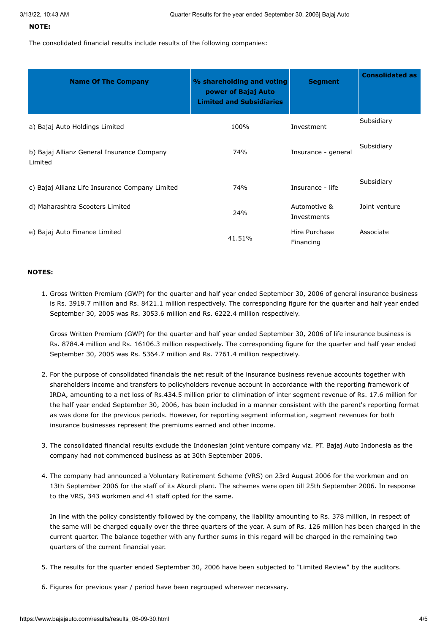#### **NOTE:**

The consolidated financial results include results of the following companies:

| <b>Name Of The Company</b>                            | % shareholding and voting<br>power of Bajaj Auto<br><b>Limited and Subsidiaries</b> | <b>Segment</b>              | <b>Consolidated as</b> |
|-------------------------------------------------------|-------------------------------------------------------------------------------------|-----------------------------|------------------------|
| a) Bajaj Auto Holdings Limited                        | 100%                                                                                | Investment                  | Subsidiary             |
| b) Bajaj Allianz General Insurance Company<br>Limited | 74%                                                                                 | Insurance - general         | Subsidiary             |
| c) Bajaj Allianz Life Insurance Company Limited       | 74%                                                                                 | Insurance - life            | Subsidiary             |
| d) Maharashtra Scooters Limited                       | 24%                                                                                 | Automotive &<br>Investments | Joint venture          |
| e) Bajaj Auto Finance Limited                         | 41.51%                                                                              | Hire Purchase<br>Financing  | Associate              |

#### **NOTES:**

1. Gross Written Premium (GWP) for the quarter and half year ended September 30, 2006 of general insurance business is Rs. 3919.7 million and Rs. 8421.1 million respectively. The corresponding figure for the quarter and half year ended September 30, 2005 was Rs. 3053.6 million and Rs. 6222.4 million respectively.

Gross Written Premium (GWP) for the quarter and half year ended September 30, 2006 of life insurance business is Rs. 8784.4 million and Rs. 16106.3 million respectively. The corresponding figure for the quarter and half year ended September 30, 2005 was Rs. 5364.7 million and Rs. 7761.4 million respectively.

- 2. For the purpose of consolidated financials the net result of the insurance business revenue accounts together with shareholders income and transfers to policyholders revenue account in accordance with the reporting framework of IRDA, amounting to a net loss of Rs.434.5 million prior to elimination of inter segment revenue of Rs. 17.6 million for the half year ended September 30, 2006, has been included in a manner consistent with the parent's reporting format as was done for the previous periods. However, for reporting segment information, segment revenues for both insurance businesses represent the premiums earned and other income.
- 3. The consolidated financial results exclude the Indonesian joint venture company viz. PT. Bajaj Auto Indonesia as the company had not commenced business as at 30th September 2006.
- 4. The company had announced a Voluntary Retirement Scheme (VRS) on 23rd August 2006 for the workmen and on 13th September 2006 for the staff of its Akurdi plant. The schemes were open till 25th September 2006. In response to the VRS, 343 workmen and 41 staff opted for the same.

In line with the policy consistently followed by the company, the liability amounting to Rs. 378 million, in respect of the same will be charged equally over the three quarters of the year. A sum of Rs. 126 million has been charged in the current quarter. The balance together with any further sums in this regard will be charged in the remaining two quarters of the current financial year.

- 5. The results for the quarter ended September 30, 2006 have been subjected to "Limited Review" by the auditors.
- 6. Figures for previous year / period have been regrouped wherever necessary.